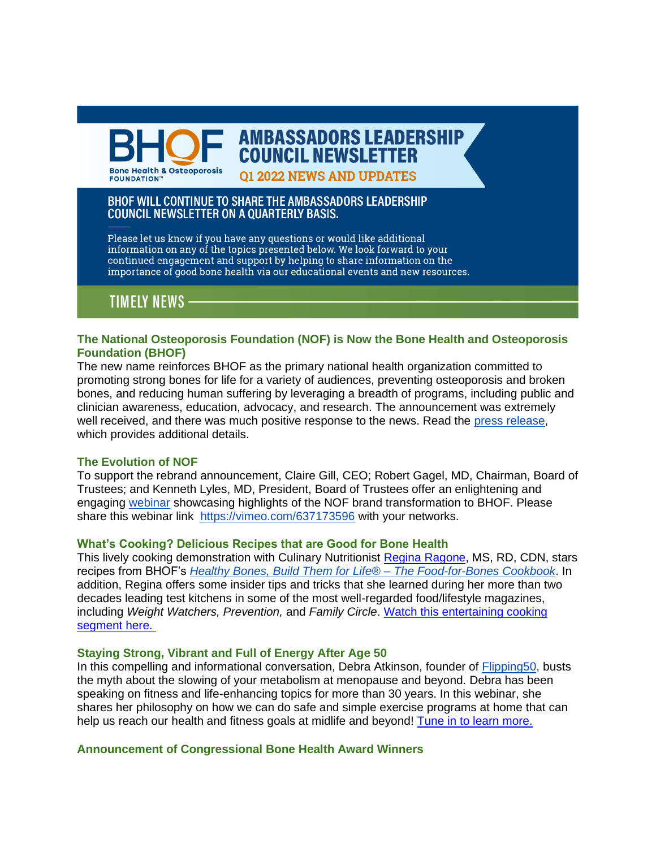**AMBASSADORS LEADERSHIP COUNCIL NEWSLETTER Bone Health & Osteoporosis FOUNDATION"** 

**01 2022 NEWS AND UPDATES** 

# BHOF WILL CONTINUE TO SHARE THE AMBASSADORS LEADERSHIP **COUNCIL NEWSLETTER ON A QUARTERLY BASIS.**

Please let us know if you have any questions or would like additional<br>information on any of the topics presented below. We look forward to your continued engagement and support by helping to share information on the importance of good bone health via our educational events and new resources.

**TIMELY NEWS** 

# **The National Osteoporosis Foundation (NOF) is Now the Bone Health and Osteoporosis Foundation (BHOF)**

The new name reinforces BHOF as the primary national health organization committed to promoting strong bones for life for a variety of audiences, preventing osteoporosis and broken bones, and reducing human suffering by leveraging a breadth of programs, including public and clinician awareness, education, advocacy, and research. The announcement was extremely well received, and there was much positive response to the news. Read the [press release,](https://www.bonehealthandosteoporosis.org/news/national-osteoporosis-foundation-is-now-bone-health-and-osteoporosis-foundation/) which provides additional details.

# **The Evolution of NOF**

To support the rebrand announcement, Claire Gill, CEO; Robert Gagel, MD, Chairman, Board of Trustees; and Kenneth Lyles, MD, President, Board of Trustees offer an enlightening and engaging [webinar](https://vimeo.com/637173596) showcasing highlights of the NOF brand transformation to BHOF. Please share this webinar link <https://vimeo.com/637173596> with your networks.

#### **What's Cooking? Delicious Recipes that are Good for Bone Health**

This lively cooking demonstration with Culinary Nutritionist [Regina Ragone,](https://nam02.safelinks.protection.outlook.com/?url=https%253A%252F%252Fwww.reginaragone.com%252Fregina&data=04%257C01%257Ccarina.may%2540nof.org%257Cdd3a68e0da744250943b08d98f10cf38%257C92cf5af7cf4b46a190d78bcd9d0023c2%257C0%257C0%257C637698124627129674%257CUnknown%257CTWFpbGZsb3d8eyJWIjoiMC4wLjAwMDAiLCJQIjoiV2luMzIiLCJBTiI6Ik1haWwiLCJXVCI6Mn0%253D%257C1000&sdata=wMR1BxTlc07jobY6NjjqxSQfDD3S2xux5p%252BluaW%252FgLk%253D&reserved=0) MS, RD, CDN, stars recipes from BHOF's *[Healthy Bones, Build Them for Life® –](https://store.nof.org/products/food-for-bones-cookbook) The Food-for-Bones Cookbook*. In addition, Regina offers some insider tips and tricks that she learned during her more than two decades leading test kitchens in some of the most well-regarded food/lifestyle magazines, including *Weight Watchers, Prevention,* and *Family Circle*. [Watch this entertaining cooking](https://vimeo.com/637279025)  [segment here.](https://vimeo.com/637279025)

#### **Staying Strong, Vibrant and Full of Energy After Age 50**

In this compelling and informational conversation, Debra Atkinson, founder of [Flipping50,](https://nam02.safelinks.protection.outlook.com/?url=https%253A%252F%252Fwww.flippingfifty.com%252F&data=04%257C01%257Ccarina.may%2540nof.org%257Cdd3a68e0da744250943b08d98f10cf38%257C92cf5af7cf4b46a190d78bcd9d0023c2%257C0%257C0%257C637698124627119673%257CUnknown%257CTWFpbGZsb3d8eyJWIjoiMC4wLjAwMDAiLCJQIjoiV2luMzIiLCJBTiI6Ik1haWwiLCJXVCI6Mn0%253D%257C1000&sdata=LOYJ7w%252F0jjofZ2pw6bHfycyeEYv8SqYzcFi0ftsiMcU%253D&reserved=0) busts the myth about the slowing of your metabolism at menopause and beyond. Debra has been speaking on fitness and life-enhancing topics for more than 30 years. In this webinar, she shares her philosophy on how we can do safe and simple exercise programs at home that can help us reach our health and fitness goals at midlife and beyond! [Tune in to learn more.](https://vimeo.com/637188542)

# **Announcement of Congressional Bone Health Award Winners**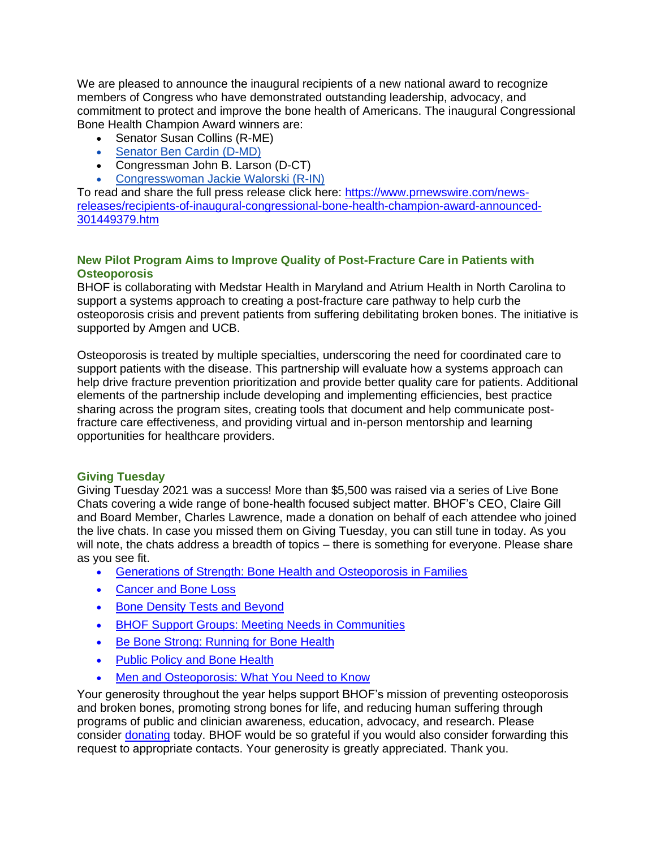We are pleased to announce the inaugural recipients of a new national award to recognize members of Congress who have demonstrated outstanding leadership, advocacy, and commitment to protect and improve the bone health of Americans. The inaugural Congressional Bone Health Champion Award winners are:

- Senator Susan Collins (R-ME)
- Senator [Ben Cardin](http://secure.nof.org/site/R?i=f3vh0nDr4G7TBbc0TnoS6PDWdW-I5IH9HbaKF4bBn7Y1hOXeA_kE7A) (D-MD)
- Congressman John B. Larson (D-CT)
- [Congresswoman](http://secure.nof.org/site/R?i=3mEDNQilMt6FgFuwPKaCEn4joBFJE5kGQa_3h8lS4c63PQvsJ-3LlQ) Jackie Walorski (R-IN)

To read and share the full press release click here: [https://www.prnewswire.com/news](https://www.prnewswire.com/news-releases/recipients-of-inaugural-congressional-bone-health-champion-award-announced-301449379.html)[releases/recipients-of-inaugural-congressional-bone-health-champion-award-announced-](https://www.prnewswire.com/news-releases/recipients-of-inaugural-congressional-bone-health-champion-award-announced-301449379.html)[301449379.htm](https://www.prnewswire.com/news-releases/recipients-of-inaugural-congressional-bone-health-champion-award-announced-301449379.html)

# **New Pilot Program Aims to Improve Quality of Post-Fracture Care in Patients with Osteoporosis**

BHOF is collaborating with Medstar Health in Maryland and Atrium Health in North Carolina to support a systems approach to creating a post-fracture care pathway to help curb the osteoporosis crisis and prevent patients from suffering debilitating broken bones. The initiative is supported by Amgen and UCB.

Osteoporosis is treated by multiple specialties, underscoring the need for coordinated care to support patients with the disease. This partnership will evaluate how a systems approach can help drive fracture prevention prioritization and provide better quality care for patients. Additional elements of the partnership include developing and implementing efficiencies, best practice sharing across the program sites, creating tools that document and help communicate postfracture care effectiveness, and providing virtual and in-person mentorship and learning opportunities for healthcare providers.

#### **Giving Tuesday**

Giving Tuesday 2021 was a success! More than \$5,500 was raised via a series of Live Bone Chats covering a wide range of bone-health focused subject matter. BHOF's CEO, Claire Gill and Board Member, Charles Lawrence, made a donation on behalf of each attendee who joined the live chats. In case you missed them on Giving Tuesday, you can still tune in today. As you will note, the chats address a breadth of topics – there is something for everyone. Please share as you see fit.

- [Generations of Strength: Bone Health and Osteoporosis in Families](http://secure.nof.org/site/R?i=VLj9Yih36WAtMU96ofKvquNjz_BHXGaLIprtOpZUvluI5kjs0siSOg)
- [Cancer and Bone Loss](http://secure.nof.org/site/R?i=BWEEWeyLefssUCW_LHJBAHxoJ52G-X8lXB4w3RwPFExHqkWQLt5V5w)
- [Bone Density Tests and Beyond](http://secure.nof.org/site/R?i=cy-d5sDDrQAcmfE5hVm7VryyKOoVQdqWOudhX2-0dCn0MoXHvZ3XmQ)
- [BHOF Support Groups: Meeting Needs in Communities](http://secure.nof.org/site/R?i=UiTgQSWqV8FHboyYIoPLleXp1nkaJ6L4-KCv5NQetzFe72buaTvbkg)
- [Be Bone Strong: Running for Bone Health](http://secure.nof.org/site/R?i=COV-rZk-wQmaEBgExsnevB7YQiXFONPHNWbZFXydu3tpydus-3UOog)
- [Public Policy and Bone Health](http://secure.nof.org/site/R?i=1ourNdo-MmfQE__o9mXj1anwl3zWJmMspFtV5zKZQtXCIa1cwVxKAQ)
- [Men and Osteoporosis: What You Need to Know](http://secure.nof.org/site/R?i=t0jit_pox5vqANaZtTyGGrWoxFrSCGdq4-vNW0itdQKBllPjEj1EiA)

Your generosity throughout the year helps support BHOF's mission of preventing osteoporosis and broken bones, promoting strong bones for life, and reducing human suffering through programs of public and clinician awareness, education, advocacy, and research. Please consider [donating](https://www.bonehealthandosteoporosis.org/support-bhof/donate/) today. BHOF would be so grateful if you would also consider forwarding this request to appropriate contacts. Your generosity is greatly appreciated. Thank you.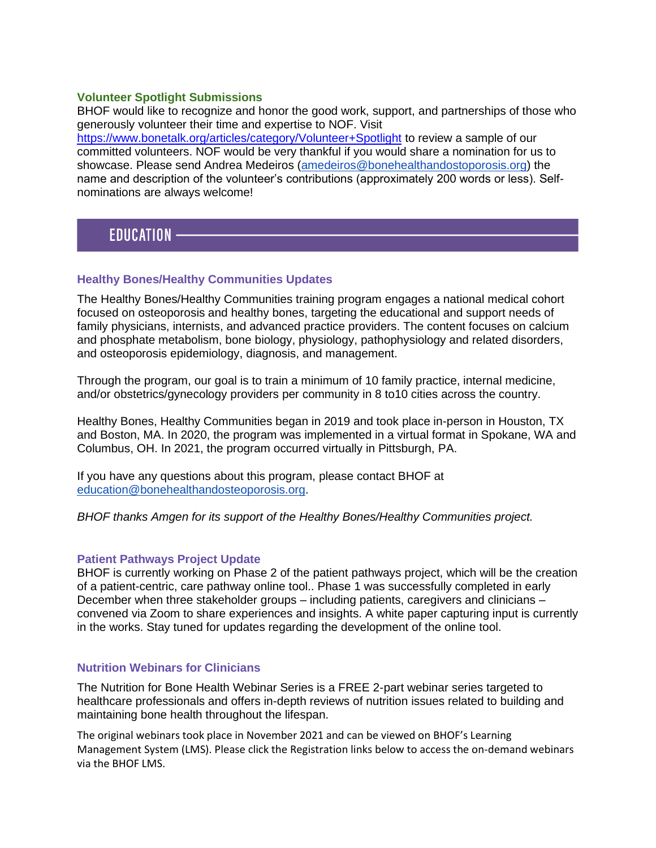# **Volunteer Spotlight Submissions**

BHOF would like to recognize and honor the good work, support, and partnerships of those who generously volunteer their time and expertise to NOF. Visit <https://www.bonetalk.org/articles/category/Volunteer+Spotlight> to review a sample of our committed volunteers. NOF would be very thankful if you would share a nomination for us to showcase. Please send Andrea Medeiros [\(amedeiros@bonehealthandostoporosis.org\)](mailto:amedeiros@bonehealthandostoporosis.org) the name and description of the volunteer's contributions (approximately 200 words or less). Selfnominations are always welcome!

# **EDUCATION -**

# **Healthy Bones/Healthy Communities Updates**

The Healthy Bones/Healthy Communities training program engages a national medical cohort focused on osteoporosis and healthy bones, targeting the educational and support needs of family physicians, internists, and advanced practice providers. The content focuses on calcium and phosphate metabolism, bone biology, physiology, pathophysiology and related disorders, and osteoporosis epidemiology, diagnosis, and management.

Through the program, our goal is to train a minimum of 10 family practice, internal medicine, and/or obstetrics/gynecology providers per community in 8 to10 cities across the country.

Healthy Bones, Healthy Communities began in 2019 and took place in-person in Houston, TX and Boston, MA. In 2020, the program was implemented in a virtual format in Spokane, WA and Columbus, OH. In 2021, the program occurred virtually in Pittsburgh, PA.

If you have any questions about this program, please contact BHOF at [education@bonehealthandosteoporosis.org.](mailto:education@bonehealthandosteoporosis.org)

*BHOF thanks Amgen for its support of the Healthy Bones/Healthy Communities project.*

# **Patient Pathways Project Update**

BHOF is currently working on Phase 2 of the patient pathways project, which will be the creation of a patient-centric, care pathway online tool.. Phase 1 was successfully completed in early December when three stakeholder groups – including patients, caregivers and clinicians – convened via Zoom to share experiences and insights. A white paper capturing input is currently in the works. Stay tuned for updates regarding the development of the online tool.

# **Nutrition Webinars for Clinicians**

The Nutrition for Bone Health Webinar Series is a FREE 2-part webinar series targeted to healthcare professionals and offers in-depth reviews of nutrition issues related to building and maintaining bone health throughout the lifespan.

The original webinars took place in November 2021 and can be viewed on BHOF's Learning Management System (LMS). Please click the Registration links below to access the on-demand webinars via the BHOF LMS.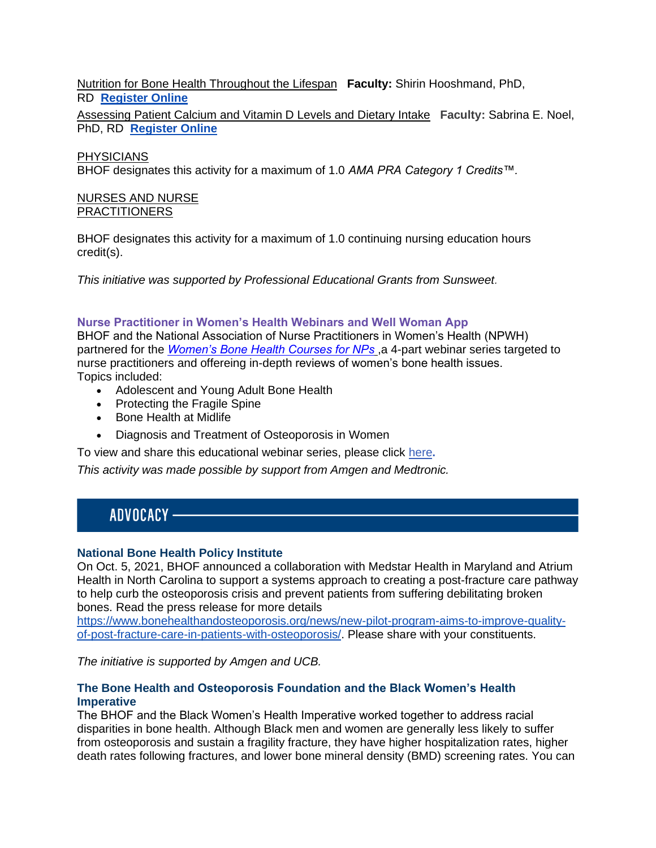Nutrition for Bone Health Throughout the Lifespan **Faculty:** Shirin Hooshmand, PhD, RD **[Register Online](https://cme.bonesource.org/content/nutrition-bone-health-throughout-lifespan)**

Assessing Patient Calcium and Vitamin D Levels and Dietary Intake **Faculty:** Sabrina E. Noel, PhD, RD **[Register Online](https://cme.bonesource.org/content/assessing-patient-calciumvitamin-d-levels-and-dietary-intake)**

### PHYSICIANS

BHOF designates this activity for a maximum of 1.0 *AMA PRA Category 1 Credits™.*

#### NURSES AND NURSE **PRACTITIONERS**

BHOF designates this activity for a maximum of 1.0 continuing nursing education hours credit(s).

*This initiative was supported by Professional Educational Grants from Sunsweet.*

#### **Nurse Practitioner in Women's Health Webinars and Well Woman App**

BHOF and the National Association of Nurse Practitioners in Women's Health (NPWH) partnered for the *[Women's Bone Health Courses for NPs](https://cme.nof.org/content/women%25E2%2580%2599s-bone-health-courses-nurse-practitioners)* ,a 4-part webinar series targeted to nurse practitioners and offereing in-depth reviews of women's bone health issues. Topics included:

- Adolescent and Young Adult Bone Health
- Protecting the Fragile Spine
- Bone Health at Midlife
- Diagnosis and Treatment of Osteoporosis in Women
- To view and share this educational webinar series, please click [here](http://secure.nof.org/site/R?i=EbJ2K7uGQmgOwGnirgTXYfJ4UjyoHpxuu1eMS9txHbLqPzVsfFG92g)**.**

*This activity was made possible by support from Amgen and Medtronic.*

# ADVOCACY -

#### **National Bone Health Policy Institute**

On Oct. 5, 2021, BHOF announced a collaboration with Medstar Health in Maryland and Atrium Health in North Carolina to support a systems approach to creating a post-fracture care pathway to help curb the osteoporosis crisis and prevent patients from suffering debilitating broken bones. Read the press release for more details

[https://www.bonehealthandosteoporosis.org/news/new-pilot-program-aims-to-improve-quality](https://www.bonehealthandosteoporosis.org/news/new-pilot-program-aims-to-improve-quality-of-post-fracture-care-in-patients-with-osteoporosis/)[of-post-fracture-care-in-patients-with-osteoporosis/.](https://www.bonehealthandosteoporosis.org/news/new-pilot-program-aims-to-improve-quality-of-post-fracture-care-in-patients-with-osteoporosis/) Please share with your constituents.

*The initiative is supported by Amgen and UCB.*

# **The Bone Health and Osteoporosis Foundation and the Black Women's Health Imperative**

The BHOF and the Black Women's Health Imperative worked together to address racial disparities in bone health. Although Black men and women are generally less likely to suffer from osteoporosis and sustain a fragility fracture, they have higher hospitalization rates, higher death rates following fractures, and lower bone mineral density (BMD) screening rates. You can